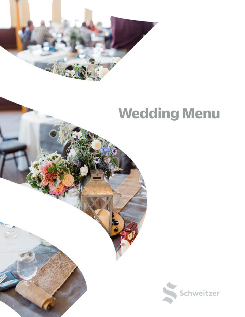

# **Wedding Menu**

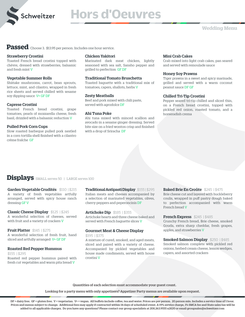

# **Hors d'Oeuvres**

**Passed** Choose 3. \$13.95 per person. Includes one hour service.

### Strawberry Crostini

Toasted French bread crostini topped with chèvre, dressed with strawberries, balsamic and fresh mint V

### Vegetable Summer Rolls

Shiitake mushrooms, carrot, bean sprouts, lettuce, mint, and cilantro, wrapped in fresh rice sheets and served chilled with sesame soy dipping sauce V+ GF DF

### Caprese Crostini

Toasted French bread crostini, grape tomatoes, pearls of mozzarella cheese, fresh basil, drizzled with a balsamic reduction V

### Pulled Pork Corn Cups

Slow roasted barbeque pulled pork nestled in a corn tortilla shell finished with a cilantro crème fraîche GF

### Chicken Yakitori

Marinated dark meat chicken, lightly seasoned with sea salt, Sansho pepper and grilled to perfection GF DF

### Traditional Tomato Bruschetta

Toasted baguette with a traditional mix of tomatoes, capers, shallots, herbs V

### Zesty Meatballs

Beef and pork mixed with chili paste, served with agrodolce DF

### Ahi Tuna Poke

Ahi tuna mixed with minced scallion and avocado in a sesame ginger dressing. Served bite size on a fried wonton crisp and finished with a drop of Sriracha DF

#### Mini Crab Cakes

Crab mixed into light crab cakes, pan seared and served with remoulade sauce

### Honey Soy Prawns

Tiger prawns in a sweet and spicy marinade, grilled and served with a warm coconut peanut sauce DF GF

### Chilled Tri-Tip Crostini

Pepper seared tri-tip chilled and sliced thin, on a French bread crostini, topped with pickled red onion, roasted tomato, and a horseradish crema

## **Displays** SMALL serves 50 | LARGE serves 100

Garden Vegetable Crudités \$110 | \$215 A variety of fresh vegetables artfully arranged, served with spicy house ranch dressing GF V

Classic Cheese Display \$125 | \$245 A wonderful selection of cheeses, served with fruit and a variety of crackers V

#### **Fruit Platter** \$145 | \$275 A wonderful selection of fresh fruit, hand sliced and artfully arranged V+ GF DF

### Roasted Red Pepper Hummus

\$155 | \$295 Roasted red pepper hummus paired with fresh cut vegetables and warm pita bread V

Traditional Antipasti Display \$155 | \$295 Italian meats and cheeses accompanied by a selection of marinated vegetables, olives, cherry peppers and peperoncinis DF

**Artichoke Dip** \$185 | \$355 Artichoke hearts and three cheese baked and served with French baguette slices V

#### Gourmet Meat & Cheese Display \$195 | \$375

crostini V

A mixture of cured, smoked, and aged meats, sliced and paired with a variety of cheese. Accompanied by pickled vegetables and house made condiments, served with house

### Baked Brie En Croûte \$245 | \$475

Brie cheese cut and layered with huckleberry coulis, wrapped in puff pastry dough baked to perfection accompanied with warm French bread V

#### French Express \$245 | \$485

Crunchy French bread, Brie cheese, smoked Gouda, extra sharp cheddar, fresh grapes, apples, and strawberries V

### Smoked Salmon Display \$250 | \$485 Smoked salmon complete with pickled red onions, herbed cream cheese, lemon wedges, capers, and assorted crackers

Quantities of each selection must accommodate your guest count.

Looking for a party menu with only appetizers? Appetizer Party menus are available upon request.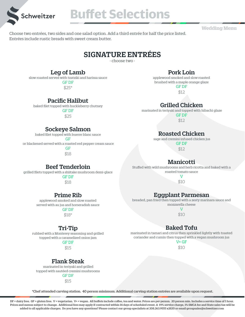

**Buffet Selections**

**Wedding Menu**

Choose two entrées, two sides and one salad option. Add a third entrée for half the price listed. Entrées include rustic breads with sweet cream butter.

# SIGNATURE ENTRÉES

- choose two -

## Leg of Lamb

slow roasted served with tzatziki and harissa sauce

GF DF \$25\*

#### applewood smoked and slow roasted brushed with a maple orange glaze

GF DF

Pork Loin

\$12

## Grilled Chicken

marinated in teriyaki and topped with hibachi glaze

GF DF \$12

## Roasted Chicken

sage and cremini infused chicken jus

GF DF \$12

## Manicotti

Stuffed with wild mushrooms and herb ricotta and baked with a roasted tomato sauce

> $\overline{V}$ \$10

## Eggplant Parmesan

breaded, pan fried then topped with a zesty marinara sauce and mozzarella cheese

> $\overline{V}$ \$10

# Baked Tofu

marinated in tamari and citrus then sprinkled lightly with toasted coriander and cumin then topped with a vegan mushroom jus

V+ GF \$10

## Pacific Halibut

baked filet topped with huckleberry chutney

GF DF

\$25

## Sockeye Salmon

baked filet topped with buerre blanc sauce

GF

or blackened served with a roasted red pepper cream sauce

GF \$18

## Beef Tenderloin

grilled filets topped with a shiitake mushroom demi-glace

GF DF \$18

## Prime Rib

applewood smoked and slow roasted served with au jus and horseradish sauce

## GF DF

\$18\*

## Tri-Tip

rubbed with a Monterey seasoning and grilled topped with a caramelized onion jam

GF DF

## \$15

## Flank Steak

 marinated in teriyaki and grilled topped with sautéed cremini mushrooms GF DF \$15

\*Chef attended carving station. 40 person minimum. Additional carving station entrées are available upon request.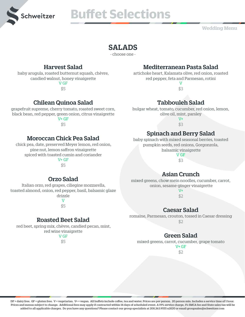

# **Buffet Selections**

**Wedding Menu**

# SALADS

- choose one -

## Harvest Salad

baby arugula, roasted butternut squash, chèvre, candied walnut, honey vinaigrette V GF

\$5

# Chilean Quinoa Salad

grapefruit supreme, cherry tomato, roasted sweet corn, black bean, red pepper, green onion, citrus vinaigrette

 $V+GF$ \$5

## Moroccan Chick Pea Salad

 chick pea, date, preserved Meyer lemon, red onion, pine nut, lemon saffron vinaigrette spiced with toasted cumin and coriander  $V + GF$ 

\$5

# Mediterranean Pasta Salad

artichoke heart, Kalamata olive, red onion, roasted red pepper, feta and Parmesan, rotini  $\overline{V}$ 

\$3

# Tabbouleh Salad

bulgar wheat, tomato, cucumber, red onion, lemon, olive oil, mint, parsley

 $V^+$ \$3

# Spinach and Berry Salad

baby spinach with mixed seasonal berries, toasted pumpkin seeds, red onions, Gorgonzola, balsamic vinaigrette V GF

\$3

# Asian Crunch

mixed greens, chow mein noodles, cucumber, carrot, onion, sesame-ginger vinaigrette

 $V^+$  $$2.$ 

# Caesar Salad

romaine, Parmesan, crouton, tossed in Caesar dressing \$2

# Green Salad

mixed greens, carrot, cucumber, grape tomato

V+ GF

\$2

Orzo Salad

 Italian orzo, red grapes, ciliegine mozzarella, toasted almond, onion, red pepper, basil, balsamic glaze drizzle

V

\$5

## Roasted Beet Salad

 red beet, spring mix, chèvre, candied pecan, mint, red wine vinaigrette

V GF

\$5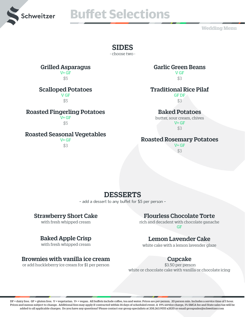

# **Buffet Selections Buffet Selections**

**Wedding Menu**

## SIDES

- choose two -

# Grilled Asparagus

V+ GF  $S<sub>5</sub>$ 

## Scalloped Potatoes

V GF \$5

## Roasted Fingerling Potatoes

V+ GF \$5

## Roasted Seasonal Vegetables

V+ GF \$3

## Garlic Green Beans

V GF \$3

## Traditional Rice Pilaf

GF DF \$3

## Baked Potatoes

butter, sour cream, chives  $V + GF$ \$3

## Roasted Rosemary Potatoes

V+ GF \$3

# DESSERTS

- add a dessert to any buffet for \$5 per person -

## Strawberry Short Cake

with fresh whipped cream

## Baked Apple Crisp

with fresh whipped cream

## Brownies with vanilla ice cream

or add huckleberry ice cream for \$1 per person

## Flourless Chocolate Torte

rich and decadent with chocolate ganache GF

## Lemon Lavender Cake

white cake with a lemon lavender glaze

## Cupcake

\$3.50 per person white or chocolate cake with vanilla or chocolate icing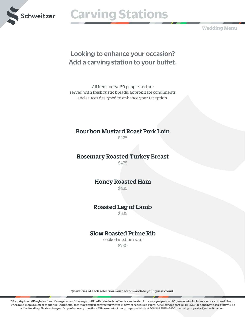

# **Schweitzer Carving Stations**

**Wedding Menu**

# Looking to enhance your occasion? Add a carving station to your buffet.

All items serve 50 people and are served with fresh rustic breads, appropriate condiments, and sauces designed to enhance your reception.

## Bourbon Mustard Roast Pork Loin

\$425

## Rosemary Roasted Turkey Breast

\$425

Honey Roasted Ham \$425

# Roasted Leg of Lamb

\$525

## Slow Roasted Prime Rib

cooked medium rare \$750

Quantities of each selection must accommodate your guest count.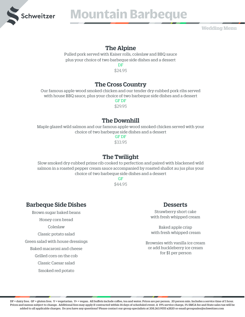

# **Schweitzer Mountain Barbeque**

**Wedding Menu**

## The Alpine

Pulled pork served with Kaiser rolls, coleslaw and BBQ sauce plus your choice of two barbeque side dishes and a dessert

> DF \$24.95

# The Cross Country

Our famous apple-wood smoked chicken and our tender dry-rubbed pork ribs served with house BBQ sauce, plus your choice of two barbeque side dishes and a dessert GF DF

\$29.95

## The Downhill

Maple glazed wild salmon and our famous apple-wood smoked chicken served with your choice of two barbeque side dishes and a dessert

GF DF \$33.95

# The Twilight

Slow smoked dry-rubbed prime rib cooked to perfection and paired with blackened wild salmon in a roasted pepper cream sauce accompanied by roasted shallot au jus plus your choice of two barbeque side dishes and a dessert

> GF \$44.95

# Barbeque Side Dishes

Brown sugar baked beans Honey corn bread Coleslaw Classic potato salad Green salad with house dressings Baked macaroni and cheese Grilled corn on the cob Classic Caesar salad Smoked red potato

## **Desserts**

Strawberry short cake with fresh whipped cream

Baked apple crisp with fresh whipped cream

Brownies with vanilla ice cream or add huckleberry ice cream for \$1 per person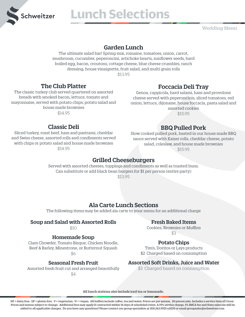

# **Lunch Selections**

**Wedding Menu**

## Garden Lunch

The ultimate salad bar! Spring mix, romaine, tomatoes, onion, carrot, mushroom, cucumber, peperoncini, artichoke hearts, sunflower seeds, hard boiled egg, bacon, croutons, cottage cheese, blue cheese crumbles, ranch dressing, house vinaigrette, fruit salad, and multi grain rolls

\$13.95

## The Club Platter

The classic turkey club served quartered on assorted breads with smoked bacon, lettuce, tomato and mayonnaise, served with potato chips, potato salad and house made brownies \$14.95

Classic Deli Sliced turkey, roast beef, ham and pastrami, cheddar and Swiss cheese, assorted rolls and condiments served with chips or potato salad and house made brownies \$14.95

## Foccacia Deli Tray

Genoa, cappicola, hard salami, ham and provolone cheese served with peperoncinis, sliced tomatoes, red onion, lettuce, dijonaise, house foccacia, pasta salad and assorted cookies

\$15.95

# BBQ Pulled Pork

Slow cooked pulled pork, basted in our house made BBQ sauce served with Kaiser rolls, cheddar cheese, potato salad, coleslaw, and house made brownies \$15.95

## Grilled Cheeseburgers

Served with assorted cheeses, toppings and condiments as well as toasted buns. Can substitute or add black bean burgers for \$1 per person (entire party) \$13.95

## Ala Carte Lunch Sections

The following items may be added ala carte to your menu for an additional charge

## Soup and Salad with Assorted Rolls

\$10

## Homemade Soup

Clam Chowder, Tomato Bisque, Chicken Noodle, Beef & Barley, Minestrone, or Butternut Squash

\$6

## Seasonal Fresh Fruit

Assorted fresh fruit cut and arranged beautifully \$4

## Fresh Baked Items

Cookies, Brownies or Muffins \$3

## Potato Chips

Tim's, Doritos or Lays products \$2 Charged based on consumption

## Assorted Soft Drinks, Juice and Water

\$3 Charged based on consumption

All lunch stations also include iced tea or lemonade.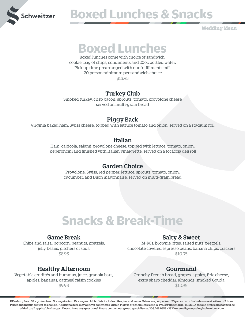

# **Schweitzer BOXed Lunches & Snacks**

**Wedding Menu**

# **Boxed Lunches**

Boxed lunches come with choice of sandwich, cookie, bag of chips, condiments and 20oz bottled water. Pick up time prearranged with our fulfillment staff. 20 person minimum per sandwich choice. \$15.95

## Turkey Club

Smoked turkey, crisp bacon, sprouts, tomato, provolone cheese served on multi-grain bread

# Piggy Back

Virginia baked ham, Swiss cheese, topped with lettuce tomato and onion, served on a stadium roll

## Italian

Ham, capicola, salami, provolone cheese, topped with lettuce, tomato, onion, peperoncini and finished with Italian vinaigrette, served on a focaccia deli roll

## Garden Choice

Provolone, Swiss, red pepper, lettuce, sprouts, tomato, onion, cucumber, and Dijon mayonnaise, served on multi-grain bread

# **Snacks & Break-Time**

## Game Break

Chips and salsa, popcorn, peanuts, pretzels, jelly beans, pitchers of soda \$8.95

## Healthy Afternoon

Vegetable crudités and hummus, juice, granola bars, apples, bananas, oatmeal raisin cookies \$9.95

## Salty & Sweet

M+M's, brownie bites, salted nuts, pretzels, chocolate covered espresso beans, banana chips, crackers \$10.95

# Gourmand

Crunchy French bread, grapes, apples, Brie cheese, extra sharp cheddar, almonds, smoked Gouda \$12.95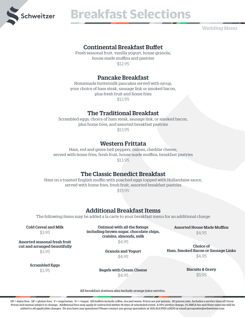

# **Breakfast Selections**

**Wedding Menu**

## Continental Breakfast Buffet

Fresh seasonal fruit, vanilla yogurt, house granola, house made muffins and pastries \$12.95

## Pancake Breakfast

Homemade buttermilk pancakes served with syrup, your choice of ham steak, sausage link or smoked bacon, plus fresh fruit and home fries \$12.95

## The Traditional Breakfast

Scrambled eggs, choice of ham steak, sausage link, or smoked bacon, plus home fries, and assorted breakfast pastries \$13.95

## Western Frittata

Ham, red and green bell peppers, onions, cheddar cheese, served with home fries, fresh fruit, house made muffins, breakfast pastries \$13.95

## The Classic Benedict Breakfast

Ham on a toasted English muffin with poached eggs topped with Hollandaise sauce, served with home fries, fresh fruit, assorted breakfast pastries \$15.95

## Additional Breakfast Items

The following items may be added a la carte to your breakfast menu for an additional charge

Cold Cereal and Milk

\$3.95

Assorted seasonal fresh fruit

Oatmeal with all the fixings including brown sugar, chocolate chips, craisins, almonds, milk

Assorted House Made Muffins \$4.95

\$4.95

Choice of Ham, Smoked Bacon or Sausage Links

 cut and arranged beautifully \$3.95

Granola and Yogurt \$4.95

Scrambled Eggs

\$3.95

Biscuits & Gravy \$5.95

\$4.95

Bagels with Cream Cheese

\$4.95

All breakfast stations also include orange juice service.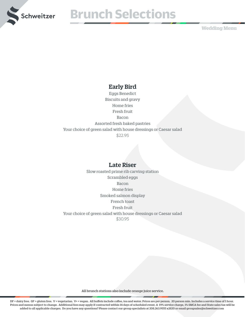

# **Breakfast Selections Brunch Selections**

**Wedding Menu**

## Early Bird

Eggs Benedict Biscuits and gravy Home fries Fresh fruit Bacon Assorted fresh baked pastries Your choice of green salad with house dressings or Caesar salad \$22.95

## Late Riser

Slow roasted prime rib carving station Scrambled eggs Bacon Home fries Smoked salmon display French toast Fresh fruit Your choice of green salad with house dressings or Caesar salad \$30.95

All brunch stations also include orange juice service.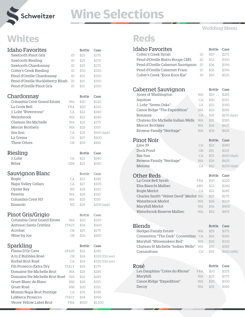

# Schweitzer **Wine Selections**

# **Whites Reds**

| <b>Idaho Favorites</b>           |              | <b>Bottle</b> | Case            |
|----------------------------------|--------------|---------------|-----------------|
| Sawtooth Pinot Gris              | ID           | \$25          | \$275           |
| Sawtooth Riesling                | ID           | \$25          | \$275           |
| Sawtooth Chardonnay              | ID           | \$25          | \$275           |
| <b>Colter's Creek Riesling</b>   | ID           | \$30          | \$330           |
| Pend d'Oreille Chardonnay        | ID           | \$31          | \$350           |
| Pend d'Oreille Huckleberry Blush | ID           | \$31          | \$350           |
| Pend d'Oreille Pinot Gris        | ID           | \$31          | \$350           |
| Chardonnay                       |              | <b>Bottle</b> | Case            |
| Columbia Crest Grand Estate      | <b>WA</b>    | \$20          | \$220           |
| La Croix Bell                    | <b>FRA</b>   | \$20          | \$220           |
| J. Lohr "Riverstone"             | СA           | \$22          | \$240           |
| Waterbrook                       | <b>WA</b>    | \$22          | \$240           |
| Chateau Ste Michelle             | <b>WA</b>    | \$25          | \$275           |
| Mercer Brothers                  | <b>WA</b>    | \$28          | \$315           |
| Sea Sun                          | CA           | \$35          | \$160 (6pk)     |
| La Crema                         | CA           | \$37          | \$400           |
| Three Otters                     | 0R           | \$38          | \$418           |
|                                  |              |               |                 |
| Riesling                         |              | <b>Bottle</b> | Case            |
| J. Lohr                          | СA           | \$22          | \$240           |
| Relax                            | GER          | \$22          | \$240           |
|                                  |              |               |                 |
| Sauvignon Blanc                  |              | <b>Bottle</b> | Case            |
| <b>Bogle</b>                     | CA           | \$22          | \$245           |
| Napa Valley Cellars              | CA           | \$27          | \$305           |
| Oyster Bay                       | ΝZ           | \$28          | \$310           |
| Payette                          | <b>WA</b>    | \$28          | \$310           |
| Columbia Crest H3                | <b>WA</b>    | \$28          | \$315           |
| Emmolo                           | NZ           | \$35          | \$205 (6pk)     |
|                                  |              |               |                 |
| Pinot Gris/Grigio                |              | <b>Bottle</b> | Case            |
| Columbia Crest Grand Estate      | <b>WA</b>    | \$20          | \$220           |
| Antinori Santa Cristina          | ITALY        | \$24          | \$260           |
| Acrobat                          | 0R           | \$25          | \$275           |
| Wine by Joe                      | 0R           | \$26          | \$280           |
|                                  |              |               |                 |
| Sparkling                        |              | Bottle        | Case            |
| Flama D'Or Cava                  | SPAIN        | \$22          | \$240           |
| A to Z Bubbles Rosé              | OR           | \$24          | \$325 (15/case) |
| Korbel Brut Rosé                 | CA           | \$24          | \$325 (15/case) |
| Fili Prosecco Extra Dry          | <b>ITALY</b> | \$24          | \$275           |
| Domaine Ste Michelle Brut        | <b>WA</b>    | \$26          | \$285           |
| Domaine Ste Michelle Brut Rosé   | <b>WA</b>    | \$26          | \$285           |
| Gruet Blanc de Blanc             | NM           | \$28          | \$315           |
| Gruet Rosé                       | ΝM           | \$30          | \$315           |
| Mumm Napa Brut Prestige          | CA           | \$35          | \$385           |
| LaMarca Prosecco                 | ITALY        | \$34          | \$396           |
| Veuve Yellow Label Brut          | FRA          | \$100         | \$1,100         |

| <b>Idaho Favorites</b> |  |
|------------------------|--|

| Idaho Favorites                        |           | <b>Bottle</b>         | Case        |
|----------------------------------------|-----------|-----------------------|-------------|
| <b>Colter's Creek Syrah</b>            | ID        | \$25                  | \$275       |
| Pend d'Oreille Bistro Rouge CMS        | ID        | \$32                  | \$350       |
| Pend d'Oreille Cabernet Sauvignon      | ID        | \$36                  | \$396       |
| Pend d'Oreille Cabernet Franc          | ID        | \$36                  | \$396       |
| Colter's Creek "Koos Koos Kia"         | ID        | \$45                  | \$525       |
|                                        |           |                       |             |
|                                        |           |                       |             |
| Cabernet Sauvignon                     |           | Bottle                | Case        |
| Jones of Washington                    | <b>WA</b> | \$26                  | \$285       |
| Aquinas                                | CA        | \$30                  | \$315       |
| J. Lohr "Seven Oaks"                   | СA        | \$32                  | \$350       |
| Canoe Ridge "The Expedition"           | <b>WA</b> | \$26                  | \$285       |
| Bonanza                                | CA        | \$35                  | \$170 (6pk) |
| Chateau Ste Michelle Indian Wells      | <b>WA</b> | \$35                  | \$385       |
| <b>Mercer Brothers</b>                 | <b>WA</b> | \$36                  | \$425       |
| Browne Family "Heritage"               | <b>WA</b> | \$36                  | \$425       |
|                                        |           |                       |             |
| Pinot Noir                             |           | <b>Bottle</b>         | Case        |
| Line 39                                | CA        | \$22                  | \$240       |
| Duck Pond                              | OR.       | \$31                  | \$325       |
| Sea Sun                                | <b>CA</b> | \$35                  | \$160(6pk)  |
| Browne Family "Heritage"               | <b>WA</b> | \$36                  | \$425       |
| Meiomi                                 | CA        | \$42                  | \$205 (6pk) |
|                                        |           |                       |             |
| <b>Other Reds</b>                      |           | <b>Bottle</b>         | Case        |
| La Croix Bell Syrah                    | FRA       | \$20                  | \$220       |
| Elsa Bianchi Malbec                    | ARG       | \$22                  | \$240       |
| <b>Bogle Merlot</b>                    | CA        | \$22                  | \$245       |
| Charles Smith "Velvet Devil" Merlot WA |           | \$25                  | \$275       |
| Waterbrook Merlot                      | <b>WA</b> | \$28                  | \$308       |
| Maryhill Merlot                        | <b>WA</b> | \$36                  | \$400       |
| Waterbrook Reserve Malbec              | <b>WA</b> | \$42                  | \$475       |
|                                        |           |                       |             |
| Blends                                 |           |                       | Case        |
| <b>Hedges Family Estate</b>            | <b>WA</b> | <b>Bottle</b><br>\$25 | \$275       |
| Consention "The Dark" Consentino       | CA        | \$26                  | \$285       |
| Maryhill "Winemakers Red"              | <b>WA</b> | \$30                  | \$330       |
| Chateau St Michelle "Indian Wells"     | <b>WA</b> | \$35                  | \$385       |
| Conundrum                              |           |                       |             |
|                                        | СA        | \$35                  | \$160 (6Pk) |
|                                        |           |                       |             |
| Rosé                                   |           | Bottle                | Case        |
| Les Dauphins "Cotes du Rhone"          | FRA       | \$20                  | \$225       |
| Maryhill                               | WA        | \$25                  | \$275       |
| Canoe Ridge "Expedition"               | <b>WA</b> | \$30                  | \$330       |
| Decoy                                  | <b>WA</b> | \$35                  | \$385       |
|                                        |           |                       |             |

## **Wedding Menu**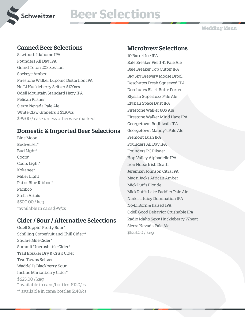

# **Schweitzer Beer Selections**

**Wedding Menu**

## Canned Beer Selections

Sawtooth Idahome IPA Founders All Day IPA Grand Teton 208 Session Sockeye Amber Firestone Walker Luponic Distortion IPA No Li Huckleberry Seltzer \$120/cs Odell Mountain Standard Hazy IPA Pelican Pilsner Sierra Nevada Pale Ale White Claw Grapefruit \$120/cs \$99.00 / case unless otherwise marked

## Domestic & Imported Beer Selections

Blue Moon Budweiser\* Bud Light\* Coors\* Coors Light\* Kokanee\* Miller Light Pabst Blue Ribbon\* Pacifico Stella Artois \$500.00 / keg \*available in cans \$99/cs

## Cider / Sour / Alternative Selections

Odell Sippin' Pretty Sour\* Schilling Grapefruit and Chill Cider\*\* Square Mile Cider\* Summit Uncrushable Cider\* Trail Breaker Dry & Crisp Cider Two Towns Seltzer Waddell's Blackberry Sour Incline Marionberry Cider\* \$625.00 / keg \* available in cans/bottles \$120/cs \*\* available in cans/bottles \$140/cs

## Microbrew Selections

10 Barrel Joe IPA Bale Breaker Field 41 Pale Ale Bale Breaker Top Cutter IPA Big Sky Brewery Moose Drool Deschutes Fresh Squeezed IPA Deschutes Black Butte Porter Elysian Superfuzz Pale Ale Elysian Space Dust IPA Firestone Walker 805 Ale Firestone Walker Mind Haze IPA Georgetown Bodhizafa IPA Georgetown Manny's Pale Ale Fremont Lush IPA Founders All Day IPA Founders PC Pilsner Hop Valley Alphadelic IPA Iron Horse Irish Death Jeremiah Johnson Citra IPA Mac n Jacks African Amber MickDuff's Blonde MickDuff's Lake Paddler Pale Ale Ninkasi Juicy Domination IPA No-Li Born & Raised IPA Odell Good Behavior Crushable IPA Radio Idaho Sexy Huckleberry Wheat Sierra Nevada Pale Ale \$625.00 / keg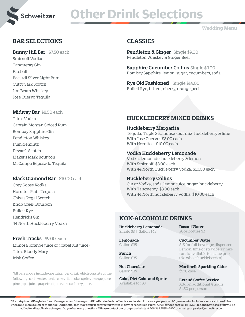

# **Other Drink Selections**

## **Wedding Menu**

## BAR SELECTIONS

Bunny Hill Bar \$7.50 each

Smirnoff Vodka Tanqueray Gin Fireball Bacardi Silver Light Rum Cutty Sark Scotch Jim Beam Whiskey Jose Cuervo Tequila

## Midway Bar \$8.50 each

Tito's Vodka Captain Morgan Spiced Rum Bombay Sapphire Gin Pendleton Whiskey Rumplemintz Dewar's Scotch Maker's Mark Bourbon Mi Campo Reposado Tequila

## Black Diamond Bar \$10.00 each

Grey Goose Vodka Hornitos Plata Tequila Chivas Regal Scotch Knob Creek Bourbon Bulleit Rye Hendricks Gin 44 North Huckleberry Vodka

## Fresh Tracks \$9.00 each

Mimosa (orange juice or grapefruit juice) Tito's Bloody Mary Irish Coffee

\*All bars above include one mixer per drink which consists of the following: soda water, tonic, coke, diet coke, sprite, orange juice, pineapple juice, grapefruit juice, or cranberry juice.

# CLASSICS

Pendleton & Ginger Single \$9.00 Pendleton Whiskey & Ginger Beer

Sapphire Cucumber Collins Single \$9.00 Bombay Sapphire, lemon, sugar, cucumbers, soda

Rye Old Fashioned Single \$14.00 Bulleit Rye, bitters, cherry, orange peel

## HUCKLEBERRY MIXED DRINKS

## Huckleberry Margarita

Tequila, Triple Sec, house sour mix, huckleberry & lime With Jose Cuervo: \$8.00 each With Hornitos: \$10.00 each

## Vodka Huckleberry Lemonade

Vodka, lemonade, huckleberry & lemon With Smirnoff: \$8.00 each With 44 North Huckleberry Vodka: \$10.00 each

## Huckleberry Collins

Gin or Vodka, soda, lemon juice, sugar, huckleberry With Tanqueray: \$8.00 each With 44 North huckleberry Vodka: \$10.00 each

## NON-ALCOHOLIC DRINKS

Huckleberry Lemonade Single \$3 | Gallon \$48

Lemonade Gallon \$35

Punch Gallon \$35

Hot Chocolate Gallon \$35

Coke, Diet Coke and Sprite Available for \$3

Dasani Water 20oz bottles \$2

## Cucumber Water

\$15 for full beverage dispenser. Lemon, lime or strawberry mixture is available for same price (No whole huckleberries)

Martinelli Sparkling Cider \$100 case

Extend Coffee Service Add an additional 4 hours \$1.50 per person